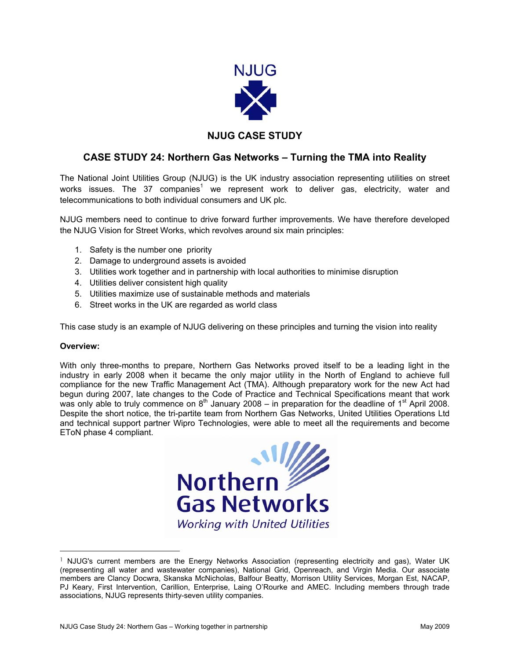

## **NJUG CASE STUDY**

## **CASE STUDY 24: Northern Gas Networks – Turning the TMA into Reality**

The National Joint Utilities Group (NJUG) is the UK industry association representing utilities on street works issues. The 37 companies<sup>[1](#page-0-0)</sup> we represent work to deliver gas, electricity, water and telecommunications to both individual consumers and UK plc.

NJUG members need to continue to drive forward further improvements. We have therefore developed the NJUG Vision for Street Works, which revolves around six main principles:

- 1. Safety is the number one priority
- 2. Damage to underground assets is avoided
- 3. Utilities work together and in partnership with local authorities to minimise disruption
- 4. Utilities deliver consistent high quality
- 5. Utilities maximize use of sustainable methods and materials
- 6. Street works in the UK are regarded as world class

This case study is an example of NJUG delivering on these principles and turning the vision into reality

## **Overview:**

With only three-months to prepare, Northern Gas Networks proved itself to be a leading light in the industry in early 2008 when it became the only major utility in the North of England to achieve full compliance for the new Traffic Management Act (TMA). Although preparatory work for the new Act had begun during 2007, late changes to the Code of Practice and Technical Specifications meant that work was only able to truly commence on  $8<sup>th</sup>$  January 2008 – in preparation for the deadline of 1<sup>st</sup> April 2008. Despite the short notice, the tri-partite team from Northern Gas Networks, United Utilities Operations Ltd and technical support partner Wipro Technologies, were able to meet all the requirements and become EToN phase 4 compliant.

<span id="page-0-0"></span>

<sup>&</sup>lt;sup>1</sup> NJUG's current members are the Energy Networks Association (representing electricity and gas), Water UK (representing all water and wastewater companies), National Grid, Openreach, and Virgin Media. Our associate members are Clancy Docwra, Skanska McNicholas, Balfour Beatty, Morrison Utility Services, Morgan Est, NACAP, PJ Keary, First Intervention, Carillion, Enterprise, Laing O'Rourke and AMEC. Including members through trade associations, NJUG represents thirty-seven utility companies.